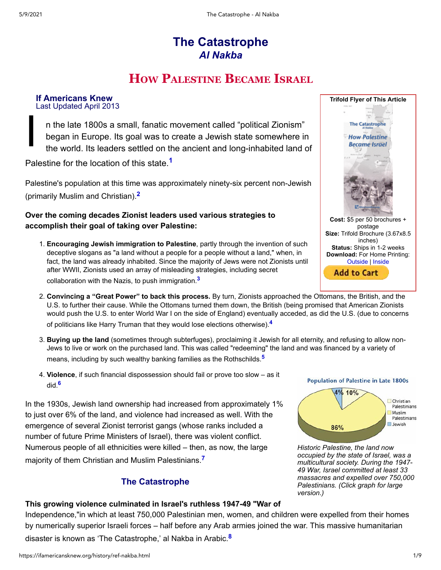# **The Catastrophe** *Al Nakba*

# <span id="page-0-0"></span>**HOW PALESTINE BECAME ISRAEL**

**If Americans Knew** Last Updated April 2013

I n the late 1800s a small, fanatic movement called "political Zionism" began in Europe. Its goal was to create a Jewish state somewhere in the world. Its leaders settled on the ancient and long-inhabited land of

Palestine for the location of this state.**[1](#page-3-0)**

Palestine's population at this time was approximately ninety-six percent non-Jewish (primarily Muslim and Christian).**[2](#page-4-0)**

### **Over the coming decades Zionist leaders used various strategies to accomplish their goal of taking over Palestine:**

- <span id="page-0-1"></span>1. **Encouraging Jewish immigration to Palestine**, partly through the invention of such deceptive slogans as "a land without a people for a people without a land," when, in fact, the land was already inhabited. Since the majority of Jews were not Zionists until after WWII, Zionists used an array of misleading strategies, including secret collaboration with the Nazis, to push immigration.**[3](#page-4-1)**
- 2. **Convincing a "Great Power" to back this process.** By turn, Zionists approached the Ottomans, the British, and the U.S. to further their cause. While the Ottomans turned them down, the British (being promised that American Zionists would push the U.S. to enter World War I on the side of England) eventually acceded, as did the U.S. (due to concerns of politicians like Harry Truman that they would lose elections otherwise).**[4](#page-4-2)**
- 3. **Buying up the land** (sometimes through subterfuges), proclaiming it Jewish for all eternity, and refusing to allow non-Jews to live or work on the purchased land. This was called "redeeming" the land and was financed by a variety of means, including by such wealthy banking families as the Rothschilds.**[5](#page-5-0)**
- <span id="page-0-5"></span>4. **Violence**, if such financial dispossession should fail or prove too slow – as it did.**[6](#page-5-1)**

In the 1930s, Jewish land ownership had increased from approximately 1% to just over 6% of the land, and violence had increased as well. With the emergence of several Zionist terrorist gangs (whose ranks included a number of future Prime Ministers of Israel), there was violent conflict. Numerous people of all ethnicities were killed – then, as now, the large majority of them Christian and Muslim Palestinians.**[7](#page-5-2)**

# <span id="page-0-6"></span>**The Catastrophe**

# **This growing violence culminated in Israel's ruthless 1947-49 "War of**

Independence,"in which at least 750,000 Palestinian men, women, and children were expelled from their homes by numerically superior Israeli forces – half before any Arab armies joined the war. This massive humanitarian disaster is known as 'The Catastrophe,' al Nakba in Arabic.**[8](#page-6-0)**



<span id="page-0-4"></span><span id="page-0-3"></span><span id="page-0-2"></span>

<span id="page-0-7"></span>*[Historic Palestine, the land now](https://ifamericansknew.org/images/poplate1800s.jpg) occupied by the state of Israel, was a multicultural society. During the 1947- 49 War, Israel committed at least 33 massacres and expelled over 750,000 Palestinians. (Click graph for large version.)*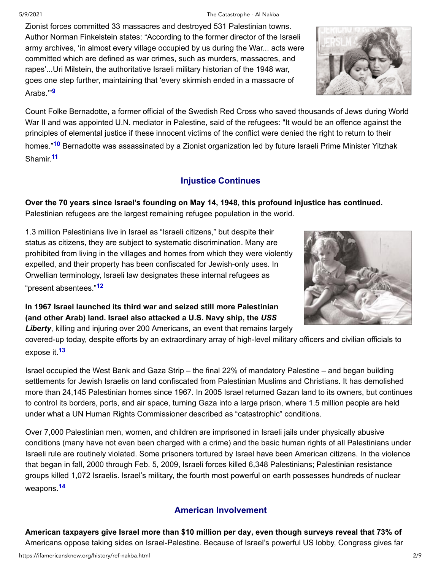Zionist forces committed 33 massacres and destroyed 531 Palestinian towns. Author Norman Finkelstein states: "According to the former director of the Israeli army archives, 'in almost every village occupied by us during the War... acts were committed which are defined as war crimes, such as murders, massacres, and rapes'...Uri Milstein, the authoritative Israeli military historian of the 1948 war, goes one step further, maintaining that 'every skirmish ended in a massacre of Arabs.'"**[9](#page-6-1)**

<span id="page-1-1"></span><span id="page-1-0"></span>Count Folke Bernadotte, a former official of the Swedish Red Cross who saved thousands of Jews during World War II and was appointed U.N. mediator in Palestine, said of the refugees: "It would be an offence against the principles of elemental justice if these innocent victims of the conflict were denied the right to return to their homes."**[10](#page-6-2)** Bernadotte was assassinated by a Zionist organization led by future Israeli Prime Minister Yitzhak Shamir.**[11](#page-6-3)**

# **Injustice Continues**

<span id="page-1-2"></span>**Over the 70 years since Israel's founding on May 14, 1948, this profound injustice has continued.** Palestinian refugees are the largest remaining refugee population in the world.

1.3 million Palestinians live in Israel as "Israeli citizens," but despite their status as citizens, they are subject to systematic discrimination. Many are prohibited from living in the villages and homes from which they were violently expelled, and their property has been confiscated for Jewish-only uses. In Orwellian terminology, Israeli law designates these internal refugees as "present absentees."**[12](#page-6-4)**

<span id="page-1-3"></span>**In 1967 Israel launched its third war and seized still more Palestinian (and other Arab) land. Israel also attacked a U.S. Navy ship, the** *USS Liberty*, killing and injuring over 200 Americans, an event that remains largely

<span id="page-1-4"></span>covered-up today, despite efforts by an extraordinary array of high-level military officers and civilian officials to expose it.**[13](#page-7-0)**

Israel occupied the West Bank and Gaza Strip – the final 22% of mandatory Palestine – and began building settlements for Jewish Israelis on land confiscated from Palestinian Muslims and Christians. It has demolished more than 24,145 Palestinian homes since 1967. In 2005 Israel returned Gazan land to its owners, but continues to control its borders, ports, and air space, turning Gaza into a large prison, where 1.5 million people are held under what a UN Human Rights Commissioner described as "catastrophic" conditions.

Over 7,000 Palestinian men, women, and children are imprisoned in Israeli jails under physically abusive conditions (many have not even been charged with a crime) and the basic human rights of all Palestinians under Israeli rule are routinely violated. Some prisoners tortured by Israel have been American citizens. In the violence that began in fall, 2000 through Feb. 5, 2009, Israeli forces killed 6,348 Palestinians; Palestinian resistance groups killed 1,072 Israelis. Israel's military, the fourth most powerful on earth possesses hundreds of nuclear weapons.**[14](#page-7-1)**

# **American Involvement**

<span id="page-1-5"></span>**American taxpayers give Israel more than \$10 million per day, even though surveys reveal that 73% of** Americans oppose taking sides on Israel-Palestine. Because of Israel's powerful US lobby, Congress gives far



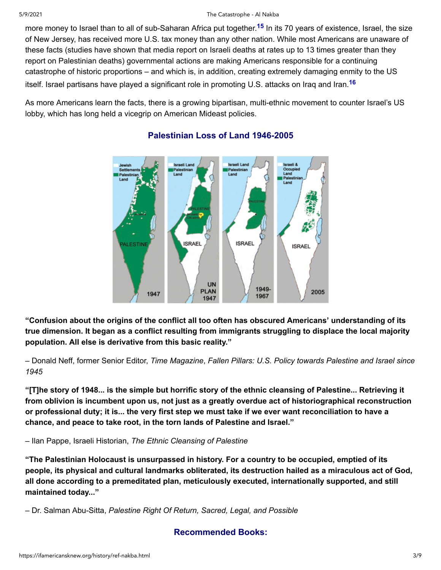more money to Israel than to all of sub-Saharan Africa put together.**[15](#page-7-2)** In its 70 years of existence, Israel, the size of New Jersey, has received more U.S. tax money than any other nation. While most Americans are unaware of these facts (studies have shown that media report on Israeli deaths at rates up to 13 times greater than they report on Palestinian deaths) governmental actions are making Americans responsible for a continuing catastrophe of historic proportions – and which is, in addition, creating extremely damaging enmity to the US itself. Israel partisans have played a significant role in promoting U.S. attacks on Iraq and Iran.**[16](#page-7-3)**

As more Americans learn the facts, there is a growing bipartisan, multi-ethnic movement to counter Israel's US lobby, which has long held a vicegrip on American Mideast policies.



# <span id="page-2-1"></span><span id="page-2-0"></span>**Palestinian Loss of Land 1946-2005**

**"Confusion about the origins of the conflict all too often has obscured Americans' understanding of its true dimension. It began as a conflict resulting from immigrants struggling to displace the local majority population. All else is derivative from this basic reality."**

– Donald Neff, former Senior Editor, *Time Magazine*, *Fallen Pillars: U.S. Policy towards Palestine and Israel since 1945*

**"[T]he story of 1948... is the simple but horrific story of the ethnic cleansing of Palestine... Retrieving it from oblivion is incumbent upon us, not just as a greatly overdue act of historiographical reconstruction or professional duty; it is... the very first step we must take if we ever want reconciliation to have a chance, and peace to take root, in the torn lands of Palestine and Israel."**

– Ilan Pappe, Israeli Historian, *The Ethnic Cleansing of Palestine*

**"The Palestinian Holocaust is unsurpassed in history. For a country to be occupied, emptied of its people, its physical and cultural landmarks obliterated, its destruction hailed as a miraculous act of God, all done according to a premeditated plan, meticulously executed, internationally supported, and still maintained today..."**

– Dr. Salman Abu-Sitta, *Palestine Right Of Return, Sacred, Legal, and Possible*

# **Recommended Books:**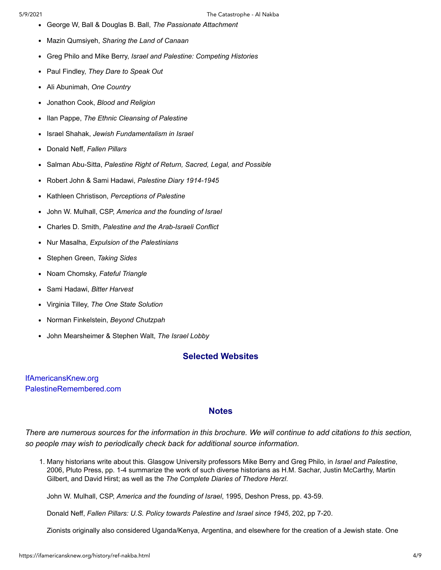- George W, Ball & Douglas B. Ball, *The Passionate Attachment*
- Mazin Qumsiyeh, *Sharing the Land of Canaan*  $\bullet$
- Greg Philo and Mike Berry, *Israel and Palestine: Competing Histories*  $\bullet$
- Paul Findley, *They Dare to Speak Out*  $\bullet$
- Ali Abunimah, *One Country*
- Jonathon Cook, *Blood and Religion*  $\bullet$
- Ilan Pappe, *The Ethnic Cleansing of Palestine*  $\bullet$
- Israel Shahak, *Jewish Fundamentalism in Israel*  $\bullet$
- Donald Neff, *Fallen Pillars*  $\bullet$
- Salman Abu-Sitta, *Palestine Right of Return, Sacred, Legal, and Possible*  $\bullet$
- $\bullet$ Robert John & Sami Hadawi, *Palestine Diary 1914-1945*
- Kathleen Christison, *Perceptions of Palestine*
- John W. Mulhall, CSP, *America and the founding of Israel*  $\bullet$
- Charles D. Smith, *Palestine and the Arab-Israeli Conflict*  $\bullet$
- Nur Masalha, *Expulsion of the Palestinians*
- Stephen Green, *Taking Sides*
- Noam Chomsky, *Fateful Triangle*
- Sami Hadawi, *Bitter Harvest*
- Virginia Tilley, *The One State Solution*
- Norman Finkelstein, *Beyond Chutzpah*
- John Mearsheimer & Stephen Walt, *The Israel Lobby*

### **Selected Websites**

<span id="page-3-0"></span>[IfAmericansKnew.org](http://ifamericansknew.org/) [PalestineRemembered.com](http://palestineremembered.com/)

#### **Notes**

*There are numerous sources for the information in this brochure. We will continue to add citations to this section, so people may wish to periodically check back for additional source information.*

1. Many historians write about this. Glasgow University professors Mike Berry and Greg Philo, in *Israel and Palestine*, 2006, Pluto Press, pp. 1-4 summarize the work of such diverse historians as H.M. Sachar, Justin McCarthy, Martin Gilbert, and David Hirst; as well as the *The Complete Diaries of Thedore Herzl*.

John W. Mulhall, CSP, *America and the founding of Israel*, 1995, Deshon Press, pp. 43-59.

Donald Neff, *Fallen Pillars: U.S. Policy towards Palestine and Israel since 1945*, 202, pp 7-20.

Zionists originally also considered Uganda/Kenya, Argentina, and elsewhere for the creation of a Jewish state. One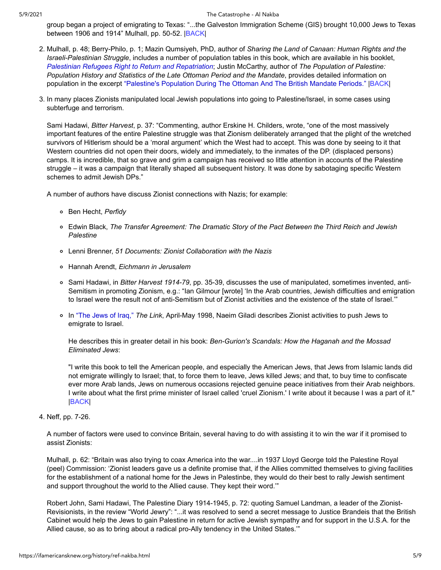<span id="page-4-0"></span>group began a project of emigrating to Texas: "...the Galveston Immigration Scheme (GIS) brought 10,000 Jews to Texas between 1906 and 1914" Mulhall, pp. 50-52. [|BACK](#page-0-0)|

- 2. Mulhall, p. 48; Berry-Philo, p. 1; Mazin Qumsiyeh, PhD, author of *Sharing the Land of Canaan: Human Rights and the Israeli-Palestinian Struggle*, includes a number of population tables in this book, which are available in his booklet, *[Palestinian Refugees Right to Return and Repatriation](https://ifamericansknew.org/history/ref-qumsiyeh.html)*; Justin McCarthy, author of *The Population of Palestine: Population History and Statistics of the Late Ottoman Period and the Mandate*, provides detailed information on population in the excerpt ["Palestine's Population During The Ottoman And The British Mandate Periods."](http://www.palestineremembered.com/Acre/Palestine-Remembered/Story559.html) |[BACK|](#page-0-1)
- 3. In many places Zionists manipulated local Jewish populations into going to Palestine/Israel, in some cases using subterfuge and terrorism.

<span id="page-4-1"></span>Sami Hadawi, *Bitter Harvest*, p. 37: "Commenting, author Erskine H. Childers, wrote, "one of the most massively important features of the entire Palestine struggle was that Zionism deliberately arranged that the plight of the wretched survivors of Hitlerism should be a 'moral argument' which the West had to accept. This was done by seeing to it that Western countries did not open their doors, widely and immediately, to the inmates of the DP. (displaced persons) camps. It is incredible, that so grave and grim a campaign has received so little attention in accounts of the Palestine struggle – it was a campaign that literally shaped all subsequent history. It was done by sabotaging specific Western schemes to admit Jewish DPs."

A number of authors have discuss Zionist connections with Nazis; for example:

- Ben Hecht, *Perfidy*
- Edwin Black, *The Transfer Agreement: The Dramatic Story of the Pact Between the Third Reich and Jewish Palestine*
- Lenni Brenner, *51 Documents: Zionist Collaboration with the Nazis*
- Hannah Arendt, *Eichmann in Jerusalem*
- Sami Hadawi, in *Bitter Harvest 1914-79*, pp. 35-39, discusses the use of manipulated, sometimes invented, anti-Semitism in promoting Zionism, e.g.: "Ian Gilmour [wrote] 'In the Arab countries, Jewish difficulties and emigration to Israel were the result not of anti-Semitism but of Zionist activities and the existence of the state of Israel.'"
- In ["The Jews of Iraq,"](http://www.ameu.org/summary1.asp?iid=36) *The Link*, April-May 1998, Naeim Giladi describes Zionist activities to push Jews to emigrate to Israel.

He describes this in greater detail in his book: *Ben-Gurion's Scandals: How the Haganah and the Mossad Eliminated Jews*:

<span id="page-4-2"></span>"I write this book to tell the American people, and especially the American Jews, that Jews from Islamic lands did not emigrate willingly to Israel; that, to force them to leave, Jews killed Jews; and that, to buy time to confiscate ever more Arab lands, Jews on numerous occasions rejected genuine peace initiatives from their Arab neighbors. I write about what the first prime minister of Israel called 'cruel Zionism.' I write about it because I was a part of it." [|BACK](#page-0-2)|

4. Neff, pp. 7-26.

A number of factors were used to convince Britain, several having to do with assisting it to win the war if it promised to assist Zionists:

Mulhall, p. 62: "Britain was also trying to coax America into the war....in 1937 Lloyd George told the Palestine Royal (peel) Commission: 'Zionist leaders gave us a definite promise that, if the Allies committed themselves to giving facilities for the establishment of a national home for the Jews in Palestinbe, they would do their best to rally Jewish sentiment and support throughout the world to the Allied cause. They kept their word.'"

Robert John, Sami Hadawi, The Palestine Diary 1914-1945, p. 72: quoting Samuel Landman, a leader of the Zionist-Revisionists, in the review "World Jewry": "...it was resolved to send a secret message to Justice Brandeis that the British Cabinet would help the Jews to gain Palestine in return for active Jewish sympathy and for support in the U.S.A. for the Allied cause, so as to bring about a radical pro-Ally tendency in the United States.'"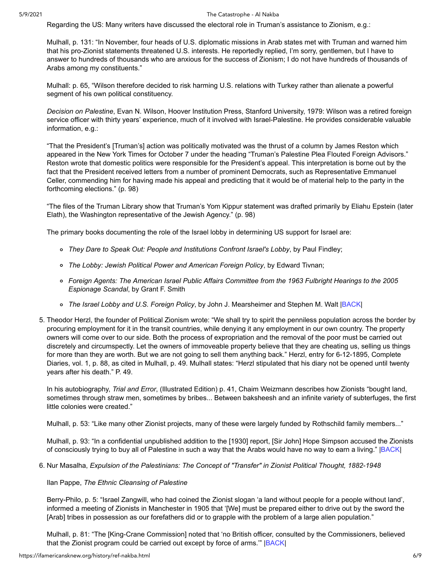Regarding the US: Many writers have discussed the electoral role in Truman's assistance to Zionism, e.g.:

Mulhall, p. 131: "In November, four heads of U.S. diplomatic missions in Arab states met with Truman and warned him that his pro-Zionist statements threatened U.S. interests. He reportedly replied, I'm sorry, gentlemen, but I have to answer to hundreds of thousands who are anxious for the success of Zionism; I do not have hundreds of thousands of Arabs among my constituents."

Mulhall: p. 65, "Wilson therefore decided to risk harming U.S. relations with Turkey rather than alienate a powerful segment of his own political constituency.

*Decision on Palestine*, Evan N. Wilson, Hoover Institution Press, Stanford University, 1979: Wilson was a retired foreign service officer with thirty years' experience, much of it involved with Israel-Palestine. He provides considerable valuable information, e.g.:

"That the President's [Truman's] action was politically motivated was the thrust of a column by James Reston which appeared in the New York Times for October 7 under the heading "Truman's Palestine Plea Flouted Foreign Advisors." Reston wrote that domestic politics were responsible for the President's appeal. This interpretation is borne out by the fact that the President received letters from a number of prominent Democrats, such as Representative Emmanuel Celler, commending him for having made his appeal and predicting that it would be of material help to the party in the forthcoming elections." (p. 98)

"The files of the Truman Library show that Truman's Yom Kippur statement was drafted primarily by Eliahu Epstein (later Elath), the Washington representative of the Jewish Agency." (p. 98)

The primary books documenting the role of the Israel lobby in determining US support for Israel are:

- *They Dare to Speak Out: People and Institutions Confront Israel's Lobby*, by Paul Findley;
- *The Lobby: Jewish Political Power and American Foreign Policy*, by Edward Tivnan;
- *Foreign Agents: The American Israel Public Affairs Committee from the 1963 Fulbright Hearings to the 2005 Espionage Scandal*, by Grant F. Smith
- <span id="page-5-0"></span>*The Israel Lobby and U.S. Foreign Policy*, by John J. Mearsheimer and Stephen M. Walt |[BACK](#page-0-3)|
- 5. Theodor Herzl, the founder of Political Zionism wrote: "We shall try to spirit the penniless population across the border by procuring employment for it in the transit countries, while denying it any employment in our own country. The property owners will come over to our side. Both the process of expropriation and the removal of the poor must be carried out discretely and circumspectly. Let the owners of immoveable property believe that they are cheating us, selling us things for more than they are worth. But we are not going to sell them anything back." Herzl, entry for 6-12-1895, Complete Diaries, vol. 1, p. 88, as cited in Mulhall, p. 49. Mulhall states: "Herzl stipulated that his diary not be opened until twenty years after his death." P. 49.

In his autobiography, *Trial and Error*, (Illustrated Edition) p. 41, Chaim Weizmann describes how Zionists "bought land, sometimes through straw men, sometimes by bribes... Between baksheesh and an infinite variety of subterfuges, the first little colonies were created."

Mulhall, p. 53: "Like many other Zionist projects, many of these were largely funded by Rothschild family members..."

<span id="page-5-1"></span>Mulhall, p. 93: "In a confidential unpublished addition to the [1930] report, [Sir John] Hope Simpson accused the Zionists of consciously trying to buy all of Palestine in such a way that the Arabs would have no way to earn a living." [|BACK|](#page-0-4)

6. Nur Masalha, *Expulsion of the Palestinians: The Concept of "Transfer" in Zionist Political Thought, 1882-1948*

Ilan Pappe, *The Ethnic Cleansing of Palestine*

Berry-Philo, p. 5: "Israel Zangwill, who had coined the Zionist slogan 'a land without people for a people without land', informed a meeting of Zionists in Manchester in 1905 that '[We] must be prepared either to drive out by the sword the [Arab] tribes in possession as our forefathers did or to grapple with the problem of a large alien population."

<span id="page-5-2"></span>Mulhall, p. 81: "The [King-Crane Commission] noted that 'no British officer, consulted by the Commissioners, believed that the Zionist program could be carried out except by force of arms.'" |[BACK](#page-0-5)|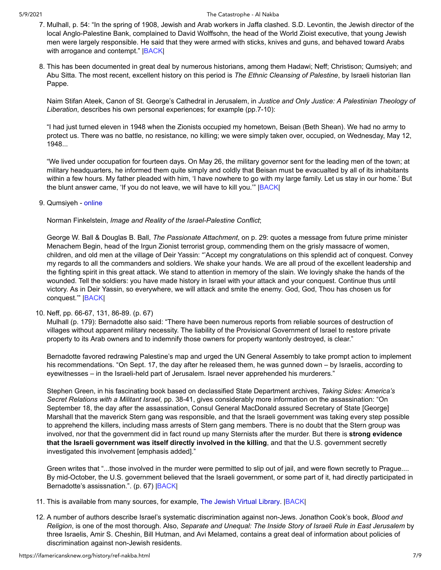- 7. Mulhall, p. 54: "In the spring of 1908, Jewish and Arab workers in Jaffa clashed. S.D. Levontin, the Jewish director of the local Anglo-Palestine Bank, complained to David Wolffsohn, the head of the World Zioist executive, that young Jewish men were largely responsible. He said that they were armed with sticks, knives and guns, and behaved toward Arabs with arrogance and contempt." **BACK**
- <span id="page-6-0"></span>8. This has been documented in great deal by numerous historians, among them Hadawi; Neff; Christison; Qumsiyeh; and Abu Sitta. The most recent, excellent history on this period is *The Ethnic Cleansing of Palestine*, by Israeli historian Ilan Pappe.

Naim Stifan Ateek, Canon of St. George's Cathedral in Jerusalem, in *Justice and Only Justice: A Palestinian Theology of Liberation*, describes his own personal experiences; for example (pp.7-10):

"I had just turned eleven in 1948 when the Zionists occupied my hometown, Beisan (Beth Shean). We had no army to protect us. There was no battle, no resistance, no killing; we were simply taken over, occupied, on Wednesday, May 12, 1948...

<span id="page-6-1"></span>"We lived under occupation for fourteen days. On May 26, the military governor sent for the leading men of the town; at military headquarters, he informed them quite simply and coldly that Beisan must be evacualted by all of its inhabitants within a few hours. My father pleaded with him, 'I have nowhere to go with my large family. Let us stay in our home.' But the blunt answer came, 'If you do not leave, we will have to kill you.'" [|BACK|](#page-0-7)

#### 9. Qumsiyeh - [online](https://ifamericansknew.org/history/ref-qumsiyeh.html)

Norman Finkelstein, *Image and Reality of the Israel-Palestine Conflict*;

George W. Ball & Douglas B. Ball, *The Passionate Attachment*, on p. 29: quotes a message from future prime minister Menachem Begin, head of the Irgun Zionist terrorist group, commending them on the grisly massacre of women, children, and old men at the village of Deir Yassin: "'Accept my congratulations on this splendid act of conquest. Convey my regards to all the commanders and soldiers. We shake your hands. We are all proud of the excellent leadership and the fighting spirit in this great attack. We stand to attention in memory of the slain. We lovingly shake the hands of the wounded. Tell the soldiers: you have made history in Israel with your attack and your conquest. Continue thus until victory. As in Deir Yassin, so everywhere, we will attack and smite the enemy. God, God, Thou has chosen us for conquest.'" [|BACK](#page-1-0)|

### 10. Neff, pp. 66-67, 131, 86-89. (p. 67)

<span id="page-6-2"></span>Mulhall (p. 179): Bernadotte also said: "There have been numerous reports from reliable sources of destruction of villages without apparent military necessity. The liability of the Provisional Government of Israel to restore private property to its Arab owners and to indemnify those owners for property wantonly destroyed, is clear."

Bernadotte favored redrawing Palestine's map and urged the UN General Assembly to take prompt action to implement his recommendations. "On Sept. 17, the day after he released them, he was gunned down – by Israelis, according to eyewitnesses – in the Israeli-held part of Jerusalem. Israel never apprehended his murderers."

Stephen Green, in his fascinating book based on declassified State Department archives, *Taking Sides: America's Secret Relations with a Militant Israel*, pp. 38-41, gives considerably more information on the assassination: "On September 18, the day after the assassination, Consul General MacDonald assured Secretary of State [George] Marshall that the maverick Stern gang was responsible, and that the Israeli government was taking every step possible to apprehend the killers, including mass arrests of Stern gang members. There is no doubt that the Stern group was involved, nor that the government did in fact round up many Sternists after the murder. But there is **strong evidence that the Israeli government was itself directly involved in the killing**, and that the U.S. government secretly investigated this involvement [emphasis added]."

<span id="page-6-4"></span><span id="page-6-3"></span>Green writes that "...those involved in the murder were permitted to slip out of jail, and were flown secretly to Prague.... By mid-October, the U.S. government believed that the Israeli government, or some part of it, had directly participated in Bernadotte's assissnation.". (p. 67) **BACK** 

- 11. This is available from many sources, for example, [The Jewish Virtual Library.](http://www.jewishvirtuallibrary.org/jsource/History/folke.html) [|BACK|](#page-1-2)
- 12. A number of authors describe Israel's systematic discrimination against non-Jews. Jonathon Cook's book, *Blood and Religion*, is one of the most thorough. Also, *Separate and Unequal: The Inside Story of Israeli Rule in East Jerusalem* by three Israelis, Amir S. Cheshin, Bill Hutman, and Avi Melamed, contains a great deal of information about policies of discrimination against non-Jewish residents.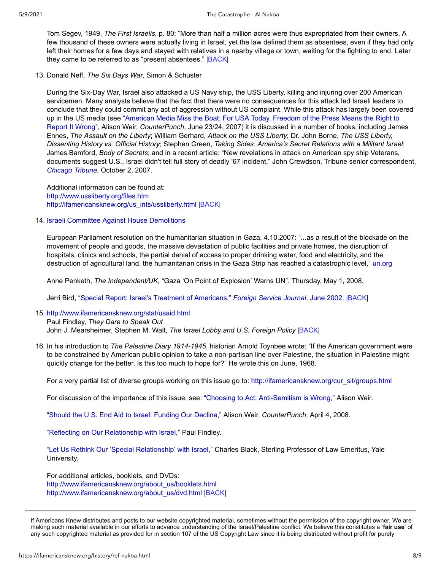<span id="page-7-0"></span>Tom Segev, 1949, *The First Israelis*, p. 80: "More than half a million acres were thus expropriated from their owners. A few thousand of these owners were actually living in Israel, yet the law defined them as absentees, even if they had only left their homes for a few days and stayed with relatives in a nearby village or town, waiting for the fighting to end. Later they came to be referred to as "present absentees." |[BACK](#page-1-3)|

13. Donald Neff, *The Six Days War*, Simon & Schuster

During the Six-Day War, Israel also attacked a US Navy ship, the USS Liberty, killing and injuring over 200 American servicemen. Many analysts believe that the fact that there were no consequences for this attack led Israeli leaders to conclude that they could commit any act of aggression without US complaint. While this attack has largely been covered [up in the US media \(see "American Media Miss the Boat: For USA Today, Freedom of the Press Means the Right to](http://ifamericansknew.org/media/misslib.html) Report It Wrong", Alison Weir, *CounterPunch*, June 23/24, 2007) it is discussed in a number of books, including James Ennes, *The Assault on the Liberty*; William Gerhard, *Attack on the USS Liberty*; Dr. John Borne, *The USS Liberty, Dissenting History vs. Official History*; Stephen Green, *Taking Sides: America's Secret Relations with a Militant Israel*; James Bamford, *Body of Secrets*; and in a recent article: "New revelations in attack on American spy ship Veterans, documents suggest U.S., Israel didn't tell full story of deadly '67 incident," John Crewdson, Tribune senior correspondent, *[Chicago Tribune](http://www.chicagotribune.com/news/nationworld/chi-liberty_tuesoct02,0,66005.story?coll=chi_tab01_layout)*, October 2, 2007.

<span id="page-7-1"></span>Additional information can be found at: <http://www.ussliberty.org/files.htm> [http://ifamericansknew.org/us\\_ints/ussliberty.html](http://ifamericansknew.org/us_ints/ussliberty.html) [|BACK](#page-1-4)|

#### 14. [Israeli Committee Against House Demolitions](http://www.icahd.org/eng/faq.asp?menu=9&submenu=1)

European Parliament resolution on the humanitarian situation in Gaza, 4.10.2007: "...as a result of the blockade on the movement of people and goods, the massive devastation of public facilities and private homes, the disruption of hospitals, clinics and schools, the partial denial of access to proper drinking water, food and electricity, and the destruction of agricultural land, the humanitarian crisis in the Gaza Strip has reached a catastrophic level," [un.org](http://domino.un.org/UNISPAl.NSF/d80185e9f0c69a7b85256cbf005afeac/46120b9b1b6c520d85257371004cf7e7!OpenDocument)

Anne Penketh, *The Independent/UK*, "Gaza 'On Point of Explosion' Warns UN". Thursday, May 1, 2008,

<span id="page-7-2"></span>Jerri Bird, ["Special Report: Israel's Treatment of Americans,"](https://ifamericansknew.org/cur_sit/torture.html) *Foreign Service Journal*, June 2002. [|BACK](#page-1-5)|

15. [http://www.ifamericansknew.org/stat/usaid.html](https://ifamericansknew.org/stat/usaid.html)

<span id="page-7-3"></span>Paul Findley, *They Dare to Speak Out* John J. Mearsheimer, Stephen M. Walt, *The Israel Lobby and U.S. Foreign Policy* [|BACK|](#page-2-0)

16. In his introduction to *The Palestine Diary 1914-1945*, historian Arnold Toynbee wrote: "If the American government were to be constrained by American public opinion to take a non-partisan line over Palestine, the situation in Palestine might quickly change for the better. Is this too much to hope for?" He wrote this on June, 1968.

For a very partial list of diverse groups working on this issue go to: [http://ifamericansknew.org/cur\\_sit/groups.html](http://ifamericansknew.org/cur_sit/groups.html)

For discussion of the importance of this issue, see: ["Choosing to Act: Anti-Semitism is Wrong,"](http://ifamericansknew.org/cur_sit/as.html) Alison Weir.

["Should the U.S. End Aid to Israel: Funding Our Decline,"](http://ifamericansknew.org/stat/weir-aid.html) Alison Weir, *CounterPunch*, April 4, 2008.

["Reflecting on Our Relationship with Israel,"](https://ifamericansknew.org/us_ints/p-findley.html) Paul Findley.

["Let Us Rethink Our 'Special Relationship' with Israel,"](https://ifamericansknew.org/us_ints/p-black.html) Charles Black, Sterling Professor of Law Emeritus, Yale University.

For additional articles, booklets, and DVDs: [http://www.ifamericansknew.org/about\\_us/booklets.html](https://ifamericansknew.org/about_us/booklets.html) [http://www.ifamericansknew.org/about\\_us/dvd.html](https://ifamericansknew.org/about_us/dvd.html) |[BACK|](#page-2-1)

If Americans Knew distributes and posts to our website copyrighted material, sometimes without the permission of the copyright owner. We are making such material available in our efforts to advance understanding of the Israel/Palestine conflict. We believe this constitutes a '**fair use**' of any such copyrighted material as provided for in section 107 of the US Copyright Law since it is being distributed without profit for purely